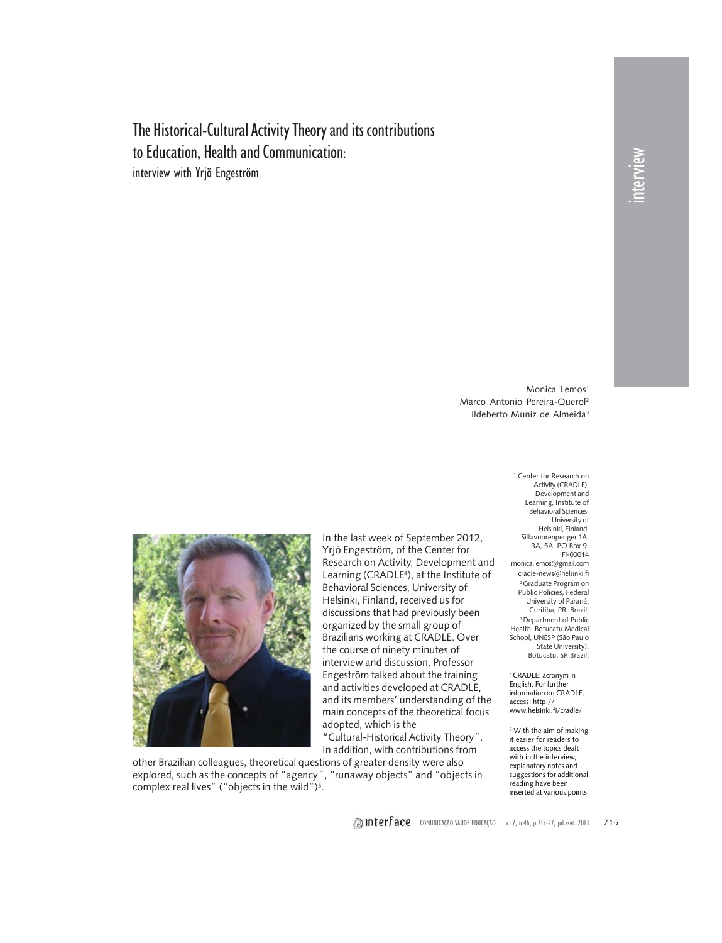The Historical-Cultural Activity Theory and its contributions to Education, Health and Communication: interview with Yrjö Engeström

> Monica Lemos<sup>1</sup> Marco Antonio Pereira-Querol2 Ildeberto Muniz de Almeida3



In the last week of September 2012, Yrjö Engeström, of the Center for Research on Activity, Development and Learning (CRADLE<sup>4</sup>), at the Institute of Behavioral Sciences, University of Helsinki, Finland, received us for discussions that had previously been organized by the small group of Brazilians working at CRADLE. Over the course of ninety minutes of interview and discussion, Professor Engeström talked about the training and activities developed at CRADLE, and its members' understanding of the main concepts of the theoretical focus adopted, which is the

"Cultural-Historical Activity Theory". In addition, with contributions from

other Brazilian colleagues, theoretical questions of greater density were also explored, such as the concepts of "agency", "runaway objects" and "objects in complex real lives" ("objects in the wild")<sup>5</sup>.

1 Center for Research on Activity (CRADLE), Development and Learning, Institute of Behavioral Sciences, University of Helsinki, Finland. Siltavuorenpenger 1A, 3A, 5A. PO Box 9. FI-00014 monica.lemos@gmail.com cradle-news@helsinki.fi 2 Graduate Program on Public Policies, Federal University of Paraná. Curitiba, PR, Brazil. <sup>3</sup> Department of Public Health, Botucatu Medical School, UNESP (São Paulo State University). Botucatu, SP, Brazil.

4 CRADLE: acronym in English. For further information on CRADLE, access: http:// www.helsinki.fi/cradle/

<sup>5</sup> With the aim of making it easier for readers to access the topics dealt with in the interview, explanatory notes and suggestions for additional reading have been inserted at various points.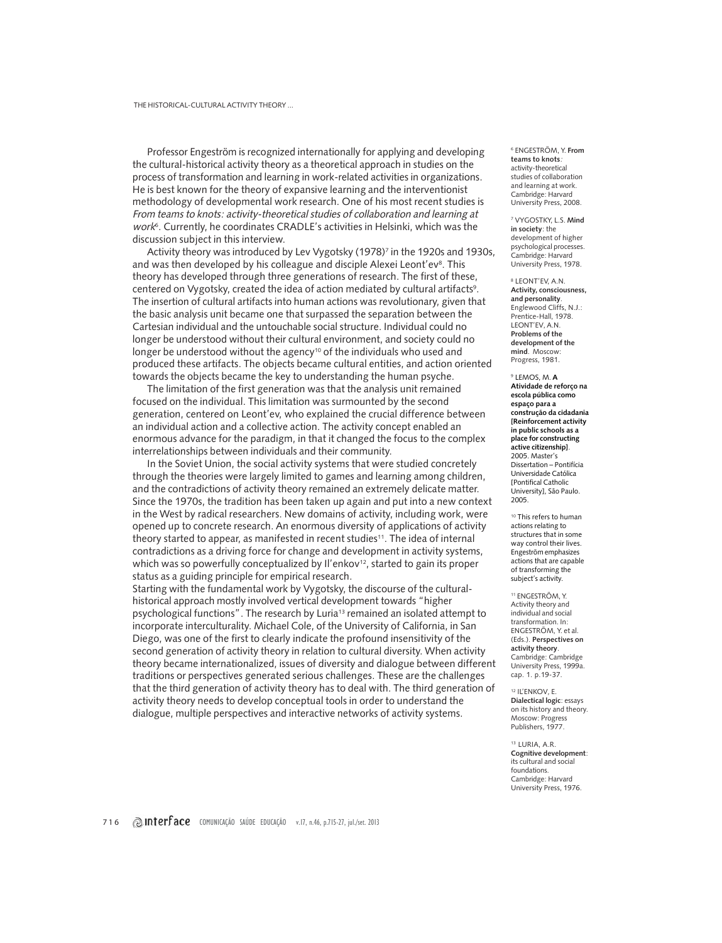Professor Engeström is recognized internationally for applying and developing the cultural-historical activity theory as a theoretical approach in studies on the process of transformation and learning in work-related activities in organizations. He is best known for the theory of expansive learning and the interventionist methodology of developmental work research. One of his most recent studies is From teams to knots: activity-theoretical studies of collaboration and learning at work6. Currently, he coordinates CRADLE's activities in Helsinki, which was the discussion subject in this interview.

Activity theory was introduced by Lev Vygotsky (1978)<sup>7</sup> in the 1920s and 1930s, and was then developed by his colleague and disciple Alexei Leont'ev<sup>8</sup>. This theory has developed through three generations of research. The first of these, centered on Vygotsky, created the idea of action mediated by cultural artifacts<sup>9</sup>. The insertion of cultural artifacts into human actions was revolutionary, given that the basic analysis unit became one that surpassed the separation between the Cartesian individual and the untouchable social structure. Individual could no longer be understood without their cultural environment, and society could no longer be understood without the agency<sup>10</sup> of the individuals who used and produced these artifacts. The objects became cultural entities, and action oriented towards the objects became the key to understanding the human psyche.

The limitation of the first generation was that the analysis unit remained focused on the individual. This limitation was surmounted by the second generation, centered on Leont'ev, who explained the crucial difference between an individual action and a collective action. The activity concept enabled an enormous advance for the paradigm, in that it changed the focus to the complex interrelationships between individuals and their community.

In the Soviet Union, the social activity systems that were studied concretely through the theories were largely limited to games and learning among children, and the contradictions of activity theory remained an extremely delicate matter. Since the 1970s, the tradition has been taken up again and put into a new context in the West by radical researchers. New domains of activity, including work, were opened up to concrete research. An enormous diversity of applications of activity theory started to appear, as manifested in recent studies<sup>11</sup>. The idea of internal contradictions as a driving force for change and development in activity systems, which was so powerfully conceptualized by II'enkov<sup>12</sup>, started to gain its proper status as a guiding principle for empirical research.

Starting with the fundamental work by Vygotsky, the discourse of the culturalhistorical approach mostly involved vertical development towards "higher psychological functions". The research by Luria<sup>13</sup> remained an isolated attempt to incorporate interculturality. Michael Cole, of the University of California, in San Diego, was one of the first to clearly indicate the profound insensitivity of the second generation of activity theory in relation to cultural diversity. When activity theory became internationalized, issues of diversity and dialogue between different traditions or perspectives generated serious challenges. These are the challenges that the third generation of activity theory has to deal with. The third generation of activity theory needs to develop conceptual tools in order to understand the dialogue, multiple perspectives and interactive networks of activity systems.

6 ENGESTRÖM, Y. **From teams to knots**: activity-theoretical studies of collaboration and learning at work. Cambridge: Harvard University Press, 2008.

7 VYGOSTKY, L.S. **Mind in society**: the development of higher psychological processes. Cambridge: Harvard University Press, 1978.

8 LEONT'EV, A.N. **Activity, consciousness, and personality**. Englewood Cliffs, N.J.: Prentice-Hall, 1978. LEONT'EV, A.N. **Problems of the development of the mind**. Moscow: Progress, 1981.

<sup>9</sup> LEMOS, M. **A Atividade de reforço na escola pública como espaço para a construção da cidadania [Reinforcement activity in public schools as a place for constructing active citizenship]**. 2005. Master's Dissertation – Pontifícia Universidade Católica [Pontifical Catholic University], São Paulo. 2005.

<sup>10</sup> This refers to human actions relating to structures that in some way control their lives. Engeström emphasizes actions that are capable of transforming the subject's activity.

11 ENGESTRÖM, Y. Activity theory and individual and social transformation. In: ENGESTRÖM, Y. et al. (Eds.). **Perspectives on activity theory**. Cambridge: Cambridge University Press, 1999a. cap. 1. p.19-37.

12 IL'ENKOV, E. **Dialectical logic**: essays on its history and theory. Moscow: Progress Publishers, 1977.

13 LURIA, A.R. **Cognitive development**: its cultural and social foundations. Cambridge: Harvard University Press, 1976.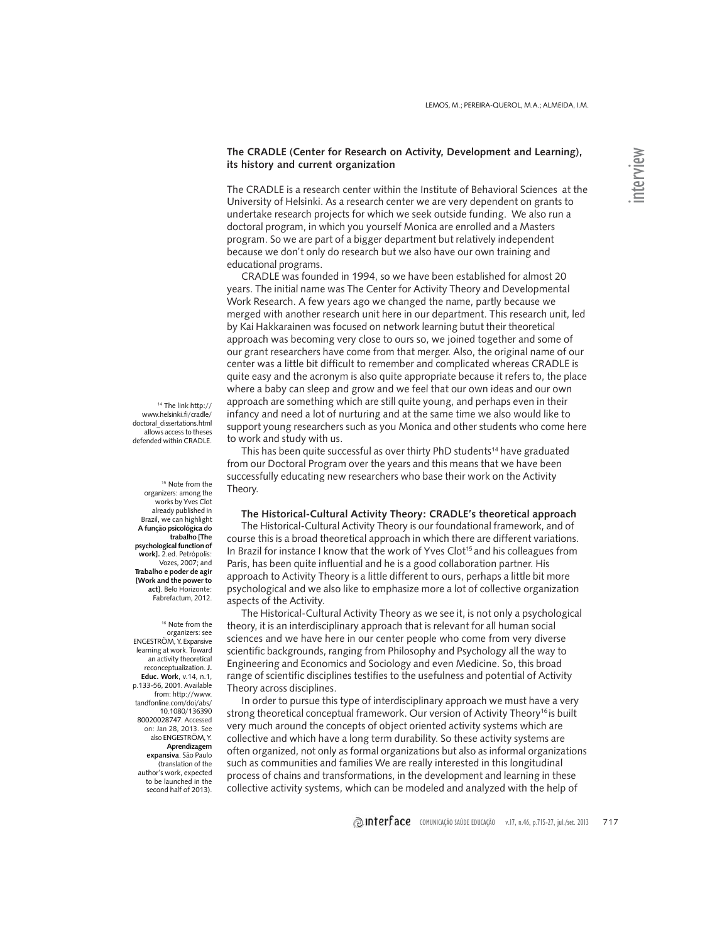# **The CRADLE (Center for Research on Activity, Development and Learning), its history and current organization**

The CRADLE is a research center within the Institute of Behavioral Sciences at the University of Helsinki. As a research center we are very dependent on grants to undertake research projects for which we seek outside funding. We also run a doctoral program, in which you yourself Monica are enrolled and a Masters program. So we are part of a bigger department but relatively independent because we don't only do research but we also have our own training and educational programs.

CRADLE was founded in 1994, so we have been established for almost 20 years. The initial name was The Center for Activity Theory and Developmental Work Research. A few years ago we changed the name, partly because we merged with another research unit here in our department. This research unit, led by Kai Hakkarainen was focused on network learning butut their theoretical approach was becoming very close to ours so, we joined together and some of our grant researchers have come from that merger. Also, the original name of our center was a little bit difficult to remember and complicated whereas CRADLE is quite easy and the acronym is also quite appropriate because it refers to, the place where a baby can sleep and grow and we feel that our own ideas and our own approach are something which are still quite young, and perhaps even in their infancy and need a lot of nurturing and at the same time we also would like to support young researchers such as you Monica and other students who come here to work and study with us.

This has been quite successful as over thirty PhD students<sup>14</sup> have graduated from our Doctoral Program over the years and this means that we have been successfully educating new researchers who base their work on the Activity Theory.

#### **The Historical-Cultural Activity Theory: CRADLE's theoretical approach**

The Historical-Cultural Activity Theory is our foundational framework, and of course this is a broad theoretical approach in which there are different variations. In Brazil for instance I know that the work of Yves Clot<sup>15</sup> and his colleagues from Paris, has been quite influential and he is a good collaboration partner. His approach to Activity Theory is a little different to ours, perhaps a little bit more psychological and we also like to emphasize more a lot of collective organization aspects of the Activity.

The Historical-Cultural Activity Theory as we see it, is not only a psychological theory, it is an interdisciplinary approach that is relevant for all human social sciences and we have here in our center people who come from very diverse scientific backgrounds, ranging from Philosophy and Psychology all the way to Engineering and Economics and Sociology and even Medicine. So, this broad range of scientific disciplines testifies to the usefulness and potential of Activity Theory across disciplines.

In order to pursue this type of interdisciplinary approach we must have a very strong theoretical conceptual framework. Our version of Activity Theory<sup>16</sup> is built very much around the concepts of object oriented activity systems which are collective and which have a long term durability. So these activity systems are often organized, not only as formal organizations but also as informal organizations such as communities and families We are really interested in this longitudinal process of chains and transformations, in the development and learning in these collective activity systems, which can be modeled and analyzed with the help of

<sup>14</sup> The link http:// www.helsinki.fi/cradle/ doctoral\_dissertations.html allows access to theses defended within CRADLE.

<sup>15</sup> Note from the organizers: among the works by Yves Clot already published in Brazil, we can highlight **A função psicológica do trabalho [The psychological function of work].** 2.ed. Petrópolis: Vozes, 2007; and **Trabalho e poder de agir [Work and the power to act]**. Belo Horizonte: Fabrefactum, 2012.

<sup>16</sup> Note from the organizers: see ENGESTRÖM, Y. Expansive learning at work. Toward an activity theoretical reconceptualization. **J. Educ. Work**, v.14, n.1, p.133-56, 2001. Available from: http://www. tandfonline.com/doi/abs/ 10.1080/136390 80020028747. Accessed on: Jan 28, 2013. See also ENGESTRÖM, Y. **Aprendizagem expansiva**. São Paulo (translation of the author's work, expected to be launched in the second half of 2013).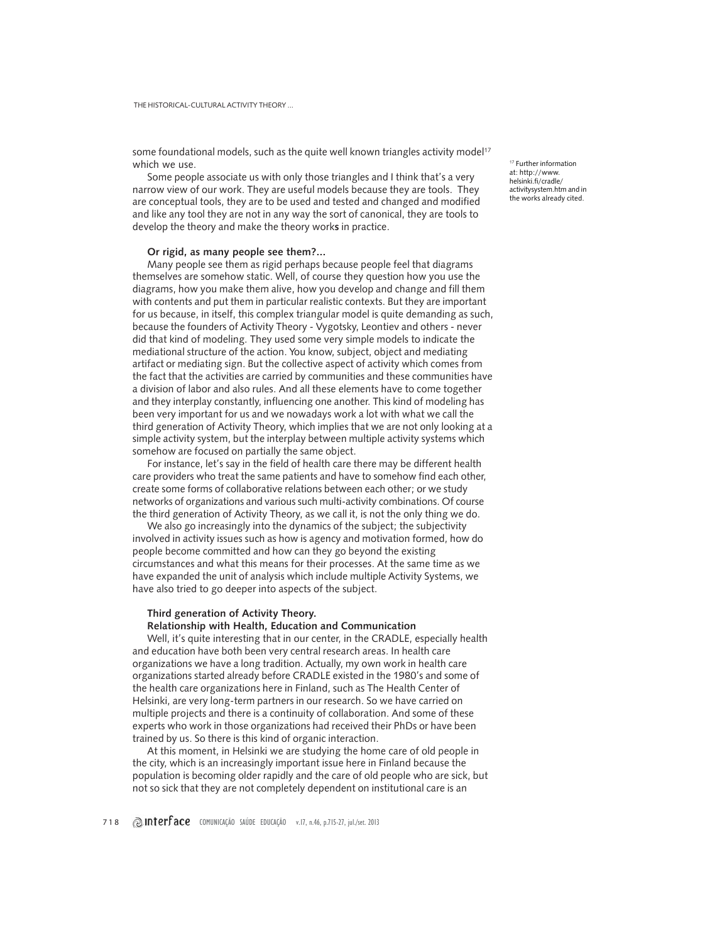some foundational models, such as the quite well known triangles activity model<sup>17</sup> which we use.

Some people associate us with only those triangles and I think that's a very narrow view of our work. They are useful models because they are tools. They are conceptual tools, they are to be used and tested and changed and modified and like any tool they are not in any way the sort of canonical, they are tools to develop the theory and make the theory work**s** in practice.

#### **Or rigid, as many people see them?...**

Many people see them as rigid perhaps because people feel that diagrams themselves are somehow static. Well, of course they question how you use the diagrams, how you make them alive, how you develop and change and fill them with contents and put them in particular realistic contexts. But they are important for us because, in itself, this complex triangular model is quite demanding as such, because the founders of Activity Theory - Vygotsky, Leontiev and others - never did that kind of modeling. They used some very simple models to indicate the mediational structure of the action. You know, subject, object and mediating artifact or mediating sign. But the collective aspect of activity which comes from the fact that the activities are carried by communities and these communities have a division of labor and also rules. And all these elements have to come together and they interplay constantly, influencing one another. This kind of modeling has been very important for us and we nowadays work a lot with what we call the third generation of Activity Theory, which implies that we are not only looking at a simple activity system, but the interplay between multiple activity systems which somehow are focused on partially the same object.

For instance, let's say in the field of health care there may be different health care providers who treat the same patients and have to somehow find each other, create some forms of collaborative relations between each other; or we study networks of organizations and various such multi-activity combinations. Of course the third generation of Activity Theory, as we call it, is not the only thing we do.

We also go increasingly into the dynamics of the subject; the subjectivity involved in activity issues such as how is agency and motivation formed, how do people become committed and how can they go beyond the existing circumstances and what this means for their processes. At the same time as we have expanded the unit of analysis which include multiple Activity Systems, we have also tried to go deeper into aspects of the subject.

# **Third generation of Activity Theory.**

#### **Relationship with Health, Education and Communication**

Well, it's quite interesting that in our center, in the CRADLE, especially health and education have both been very central research areas. In health care organizations we have a long tradition. Actually, my own work in health care organizations started already before CRADLE existed in the 1980's and some of the health care organizations here in Finland, such as The Health Center of Helsinki, are very long-term partners in our research. So we have carried on multiple projects and there is a continuity of collaboration. And some of these experts who work in those organizations had received their PhDs or have been trained by us. So there is this kind of organic interaction.

At this moment, in Helsinki we are studying the home care of old people in the city, which is an increasingly important issue here in Finland because the population is becoming older rapidly and the care of old people who are sick, but not so sick that they are not completely dependent on institutional care is an

<sup>17</sup> Further information at: http://www. helsinki.fi/cradle/ activitysystem.htm and in the works already cited.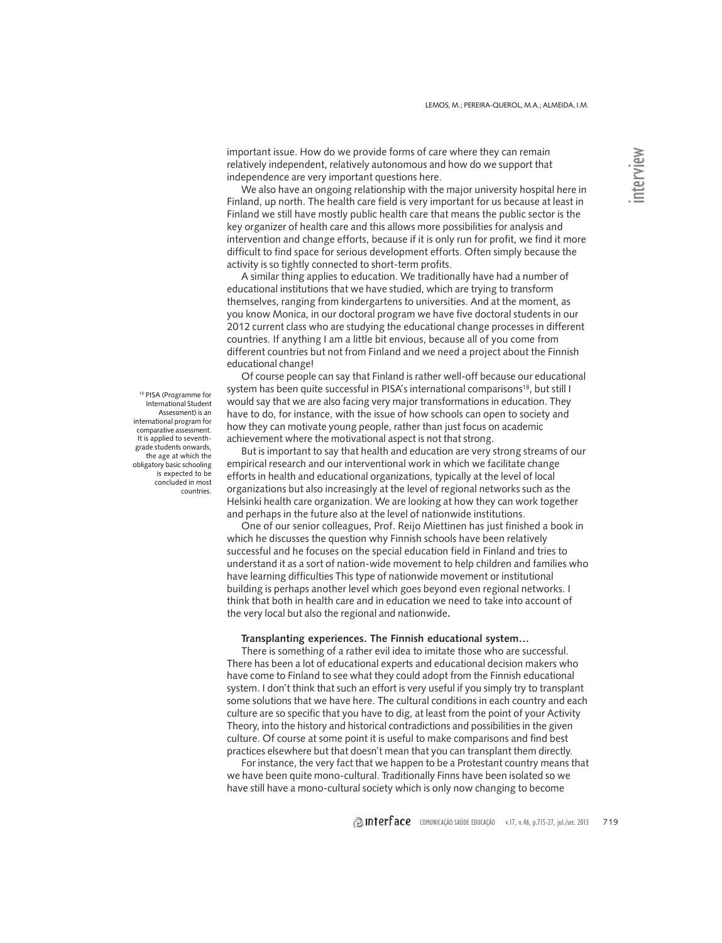important issue. How do we provide forms of care where they can remain relatively independent, relatively autonomous and how do we support that independence are very important questions here.

We also have an ongoing relationship with the major university hospital here in Finland, up north. The health care field is very important for us because at least in Finland we still have mostly public health care that means the public sector is the key organizer of health care and this allows more possibilities for analysis and intervention and change efforts, because if it is only run for profit, we find it more difficult to find space for serious development efforts. Often simply because the activity is so tightly connected to short-term profits.

A similar thing applies to education. We traditionally have had a number of educational institutions that we have studied, which are trying to transform themselves, ranging from kindergartens to universities. And at the moment, as you know Monica, in our doctoral program we have five doctoral students in our 2012 current class who are studying the educational change processes in different countries. If anything I am a little bit envious, because all of you come from different countries but not from Finland and we need a project about the Finnish educational change!

Of course people can say that Finland is rather well-off because our educational system has been quite successful in PISA's international comparisons<sup>18</sup>, but still I would say that we are also facing very major transformations in education. They have to do, for instance, with the issue of how schools can open to society and how they can motivate young people, rather than just focus on academic achievement where the motivational aspect is not that strong.

But is important to say that health and education are very strong streams of our empirical research and our interventional work in which we facilitate change efforts in health and educational organizations, typically at the level of local organizations but also increasingly at the level of regional networks such as the Helsinki health care organization. We are looking at how they can work together and perhaps in the future also at the level of nationwide institutions.

One of our senior colleagues, Prof. Reijo Miettinen has just finished a book in which he discusses the question why Finnish schools have been relatively successful and he focuses on the special education field in Finland and tries to understand it as a sort of nation-wide movement to help children and families who have learning difficulties This type of nationwide movement or institutional building is perhaps another level which goes beyond even regional networks. I think that both in health care and in education we need to take into account of the very local but also the regional and nationwide**.**

## **Transplanting experiences. The Finnish educational system…**

There is something of a rather evil idea to imitate those who are successful. There has been a lot of educational experts and educational decision makers who have come to Finland to see what they could adopt from the Finnish educational system. I don't think that such an effort is very useful if you simply try to transplant some solutions that we have here. The cultural conditions in each country and each culture are so specific that you have to dig, at least from the point of your Activity Theory, into the history and historical contradictions and possibilities in the given culture. Of course at some point it is useful to make comparisons and find best practices elsewhere but that doesn't mean that you can transplant them directly.

For instance, the very fact that we happen to be a Protestant country means that we have been quite mono-cultural. Traditionally Finns have been isolated so we have still have a mono-cultural society which is only now changing to become

<sup>18</sup> PISA (Programme for International Student Assessment) is an international program for comparative assessment. It is applied to seventhgrade students onwards, the age at which the obligatory basic schooling is expected to be concluded in most countries.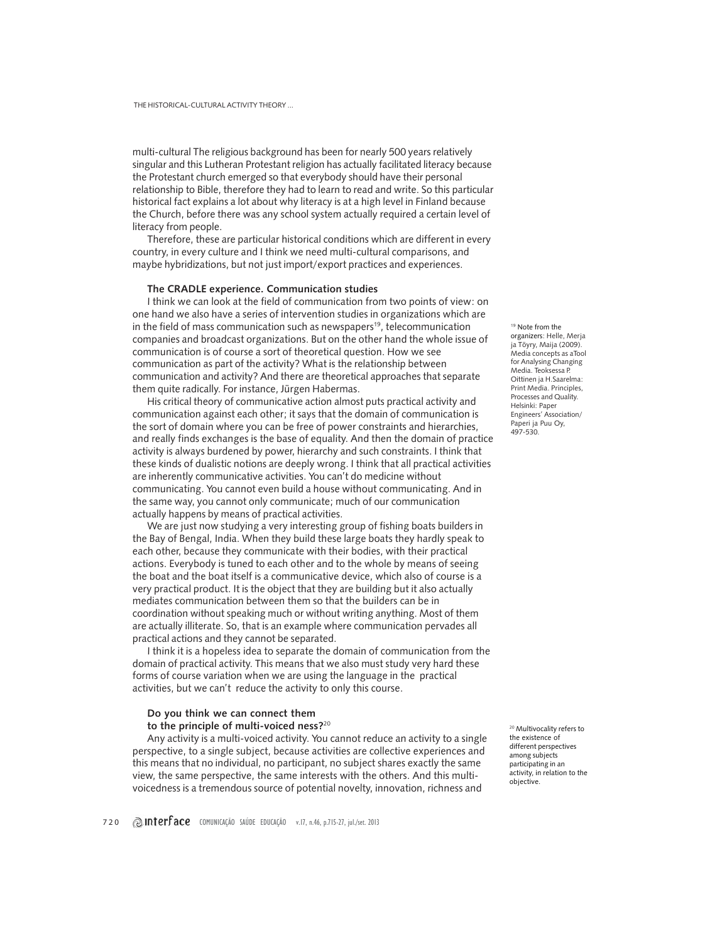multi-cultural The religious background has been for nearly 500 years relatively singular and this Lutheran Protestant religion has actually facilitated literacy because the Protestant church emerged so that everybody should have their personal relationship to Bible, therefore they had to learn to read and write. So this particular historical fact explains a lot about why literacy is at a high level in Finland because the Church, before there was any school system actually required a certain level of literacy from people.

Therefore, these are particular historical conditions which are different in every country, in every culture and I think we need multi-cultural comparisons, and maybe hybridizations, but not just import/export practices and experiences.

#### **The CRADLE experience. Communication studies**

I think we can look at the field of communication from two points of view: on one hand we also have a series of intervention studies in organizations which are in the field of mass communication such as newspapers<sup>19</sup>, telecommunication companies and broadcast organizations. But on the other hand the whole issue of communication is of course a sort of theoretical question. How we see communication as part of the activity? What is the relationship between communication and activity? And there are theoretical approaches that separate them quite radically. For instance, Jürgen Habermas.

His critical theory of communicative action almost puts practical activity and communication against each other; it says that the domain of communication is the sort of domain where you can be free of power constraints and hierarchies, and really finds exchanges is the base of equality. And then the domain of practice activity is always burdened by power, hierarchy and such constraints. I think that these kinds of dualistic notions are deeply wrong. I think that all practical activities are inherently communicative activities. You can't do medicine without communicating. You cannot even build a house without communicating. And in the same way, you cannot only communicate; much of our communication actually happens by means of practical activities.

We are just now studying a very interesting group of fishing boats builders in the Bay of Bengal, India. When they build these large boats they hardly speak to each other, because they communicate with their bodies, with their practical actions. Everybody is tuned to each other and to the whole by means of seeing the boat and the boat itself is a communicative device, which also of course is a very practical product. It is the object that they are building but it also actually mediates communication between them so that the builders can be in coordination without speaking much or without writing anything. Most of them are actually illiterate. So, that is an example where communication pervades all practical actions and they cannot be separated.

I think it is a hopeless idea to separate the domain of communication from the domain of practical activity. This means that we also must study very hard these forms of course variation when we are using the language in the practical activities, but we can't reduce the activity to only this course.

# **Do you think we can connect them**

**to the principle of multi-voiced ness?**<sup>20</sup>

Any activity is a multi-voiced activity. You cannot reduce an activity to a single perspective, to a single subject, because activities are collective experiences and this means that no individual, no participant, no subject shares exactly the same view, the same perspective, the same interests with the others. And this multivoicedness is a tremendous source of potential novelty, innovation, richness and

<sup>19</sup> Note from the organizers: Helle, Merja ja Töyry, Maija (2009). Media concepts as aTool for Analysing Changing Media. Teoksessa P. Oittinen ja H.Saarelma: Print Media. Principles, Processes and Quality. Helsinki: Paper Engineers' Association/ Paperi ja Puu Oy, 497-530.

<sup>20</sup> Multivocality refers to the existence of different perspectives among subjects participating in an activity, in relation to the objective.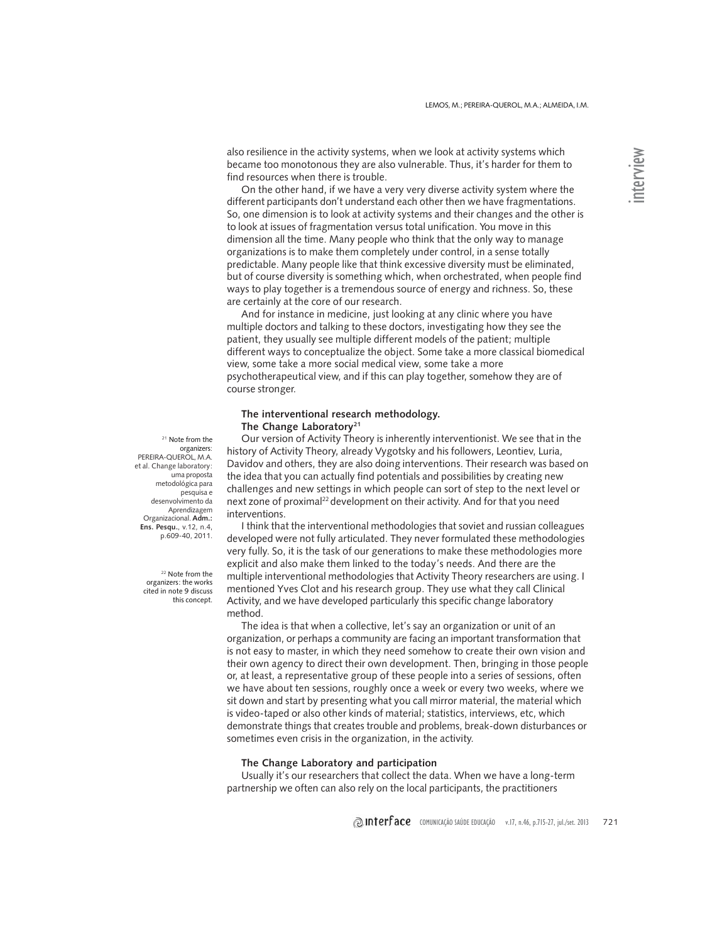also resilience in the activity systems, when we look at activity systems which became too monotonous they are also vulnerable. Thus, it's harder for them to find resources when there is trouble.

On the other hand, if we have a very very diverse activity system where the different participants don't understand each other then we have fragmentations. So, one dimension is to look at activity systems and their changes and the other is to look at issues of fragmentation versus total unification. You move in this dimension all the time. Many people who think that the only way to manage organizations is to make them completely under control, in a sense totally predictable. Many people like that think excessive diversity must be eliminated, but of course diversity is something which, when orchestrated, when people find ways to play together is a tremendous source of energy and richness. So, these are certainly at the core of our research.

And for instance in medicine, just looking at any clinic where you have multiple doctors and talking to these doctors, investigating how they see the patient, they usually see multiple different models of the patient; multiple different ways to conceptualize the object. Some take a more classical biomedical view, some take a more social medical view, some take a more psychotherapeutical view, and if this can play together, somehow they are of course stronger.

# **The interventional research methodology. The Change Laboratory21**

Our version of Activity Theory is inherently interventionist. We see that in the history of Activity Theory, already Vygotsky and his followers, Leontiev, Luria, Davidov and others, they are also doing interventions. Their research was based on the idea that you can actually find potentials and possibilities by creating new challenges and new settings in which people can sort of step to the next level or next zone of proximal<sup>22</sup> development on their activity. And for that you need interventions.

I think that the interventional methodologies that soviet and russian colleagues developed were not fully articulated. They never formulated these methodologies very fully. So, it is the task of our generations to make these methodologies more explicit and also make them linked to the today's needs. And there are the multiple interventional methodologies that Activity Theory researchers are using. I mentioned Yves Clot and his research group. They use what they call Clinical Activity, and we have developed particularly this specific change laboratory method.

The idea is that when a collective, let's say an organization or unit of an organization, or perhaps a community are facing an important transformation that is not easy to master, in which they need somehow to create their own vision and their own agency to direct their own development. Then, bringing in those people or, at least, a representative group of these people into a series of sessions, often we have about ten sessions, roughly once a week or every two weeks, where we sit down and start by presenting what you call mirror material, the material which is video-taped or also other kinds of material; statistics, interviews, etc, which demonstrate things that creates trouble and problems, break-down disturbances or sometimes even crisis in the organization, in the activity.

## **The Change Laboratory and participation**

Usually it's our researchers that collect the data. When we have a long-term partnership we often can also rely on the local participants, the practitioners

<sup>21</sup> Note from the organizers: PEREIRA-QUEROL, M.A. et al. Change laboratory: uma proposta metodológica para pesquisa e desenvolvimento da Aprendizagem Organizacional. **Adm.: Ens. Pesqu.**, v.12, n.4, p.609-40, 2011.

> <sup>22</sup> Note from the organizers: the works cited in note 9 discuss this concept.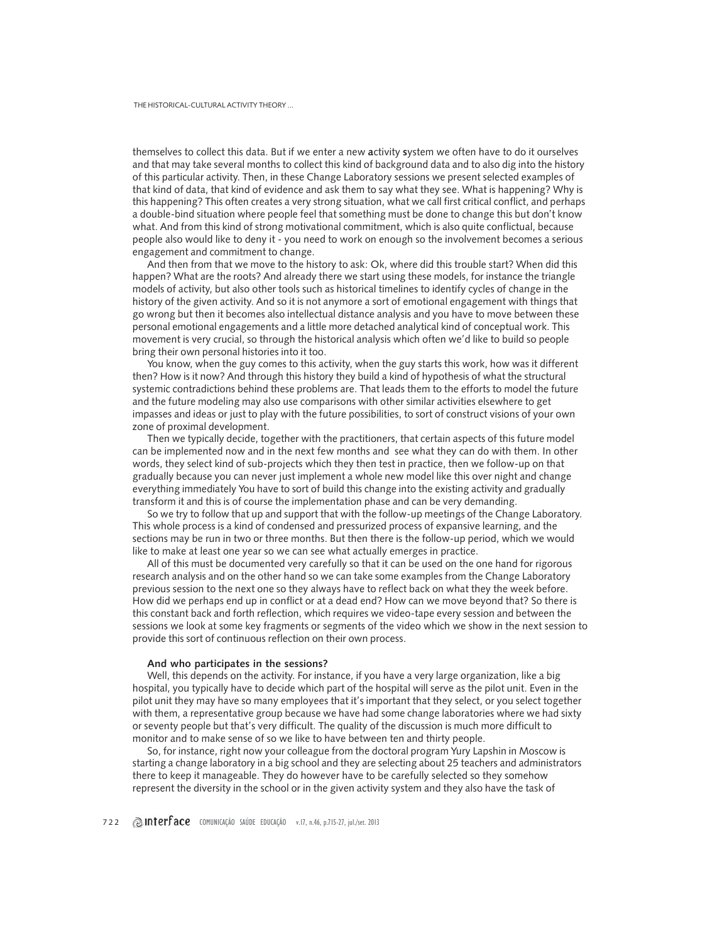themselves to collect this data. But if we enter a new **a**ctivity **s**ystem we often have to do it ourselves and that may take several months to collect this kind of background data and to also dig into the history of this particular activity. Then, in these Change Laboratory sessions we present selected examples of that kind of data, that kind of evidence and ask them to say what they see. What is happening? Why is this happening? This often creates a very strong situation, what we call first critical conflict, and perhaps a double-bind situation where people feel that something must be done to change this but don't know what. And from this kind of strong motivational commitment, which is also quite conflictual, because people also would like to deny it - you need to work on enough so the involvement becomes a serious engagement and commitment to change.

And then from that we move to the history to ask: Ok, where did this trouble start? When did this happen? What are the roots? And already there we start using these models, for instance the triangle models of activity, but also other tools such as historical timelines to identify cycles of change in the history of the given activity. And so it is not anymore a sort of emotional engagement with things that go wrong but then it becomes also intellectual distance analysis and you have to move between these personal emotional engagements and a little more detached analytical kind of conceptual work. This movement is very crucial, so through the historical analysis which often we'd like to build so people bring their own personal histories into it too.

You know, when the guy comes to this activity, when the guy starts this work, how was it different then? How is it now? And through this history they build a kind of hypothesis of what the structural systemic contradictions behind these problems are. That leads them to the efforts to model the future and the future modeling may also use comparisons with other similar activities elsewhere to get impasses and ideas or just to play with the future possibilities, to sort of construct visions of your own zone of proximal development.

Then we typically decide, together with the practitioners, that certain aspects of this future model can be implemented now and in the next few months and see what they can do with them. In other words, they select kind of sub-projects which they then test in practice, then we follow-up on that gradually because you can never just implement a whole new model like this over night and change everything immediately You have to sort of build this change into the existing activity and gradually transform it and this is of course the implementation phase and can be very demanding.

So we try to follow that up and support that with the follow-up meetings of the Change Laboratory. This whole process is a kind of condensed and pressurized process of expansive learning, and the sections may be run in two or three months. But then there is the follow-up period, which we would like to make at least one year so we can see what actually emerges in practice.

All of this must be documented very carefully so that it can be used on the one hand for rigorous research analysis and on the other hand so we can take some examples from the Change Laboratory previous session to the next one so they always have to reflect back on what they the week before. How did we perhaps end up in conflict or at a dead end? How can we move beyond that? So there is this constant back and forth reflection, which requires we video-tape every session and between the sessions we look at some key fragments or segments of the video which we show in the next session to provide this sort of continuous reflection on their own process.

## **And who participates in the sessions?**

Well, this depends on the activity. For instance, if you have a very large organization, like a big hospital, you typically have to decide which part of the hospital will serve as the pilot unit. Even in the pilot unit they may have so many employees that it's important that they select, or you select together with them, a representative group because we have had some change laboratories where we had sixty or seventy people but that's very difficult. The quality of the discussion is much more difficult to monitor and to make sense of so we like to have between ten and thirty people.

So, for instance, right now your colleague from the doctoral program Yury Lapshin in Moscow is starting a change laboratory in a big school and they are selecting about 25 teachers and administrators there to keep it manageable. They do however have to be carefully selected so they somehow represent the diversity in the school or in the given activity system and they also have the task of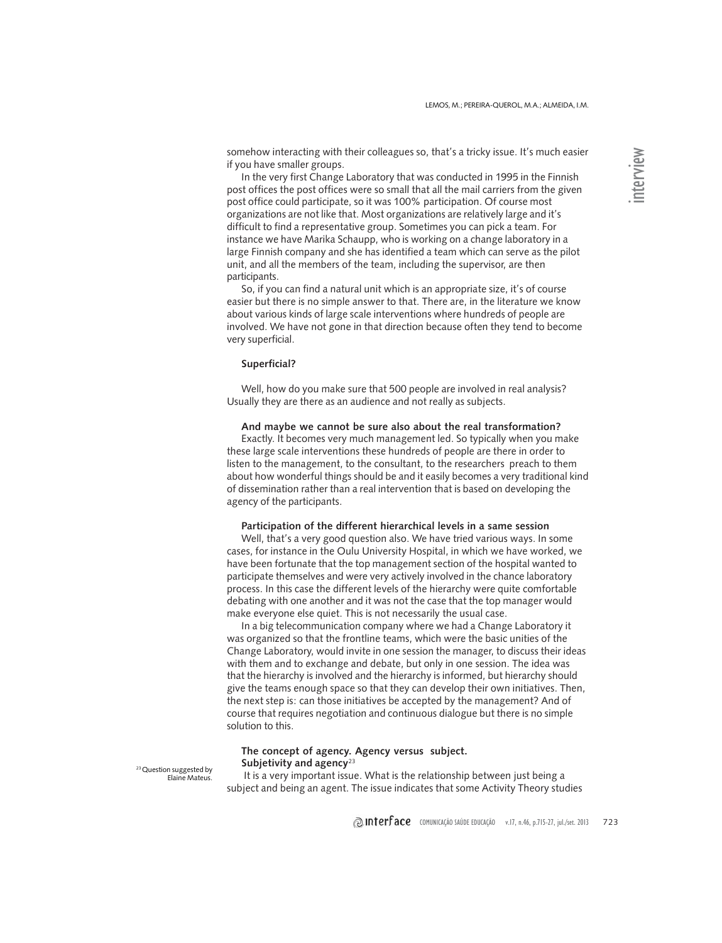somehow interacting with their colleagues so, that's a tricky issue. It's much easier if you have smaller groups.

In the very first Change Laboratory that was conducted in 1995 in the Finnish post offices the post offices were so small that all the mail carriers from the given post office could participate, so it was 100% participation. Of course most organizations are not like that. Most organizations are relatively large and it's difficult to find a representative group. Sometimes you can pick a team. For instance we have Marika Schaupp, who is working on a change laboratory in a large Finnish company and she has identified a team which can serve as the pilot unit, and all the members of the team, including the supervisor, are then participants.

So, if you can find a natural unit which is an appropriate size, it's of course easier but there is no simple answer to that. There are, in the literature we know about various kinds of large scale interventions where hundreds of people are involved. We have not gone in that direction because often they tend to become very superficial.

#### **Superficial?**

Well, how do you make sure that 500 people are involved in real analysis? Usually they are there as an audience and not really as subjects.

**And maybe we cannot be sure also about the real transformation?**

Exactly. It becomes very much management led. So typically when you make these large scale interventions these hundreds of people are there in order to listen to the management, to the consultant, to the researchers preach to them about how wonderful things should be and it easily becomes a very traditional kind of dissemination rather than a real intervention that is based on developing the agency of the participants.

#### **Participation of the different hierarchical levels in a same session**

Well, that's a very good question also. We have tried various ways. In some cases, for instance in the Oulu University Hospital, in which we have worked, we have been fortunate that the top management section of the hospital wanted to participate themselves and were very actively involved in the chance laboratory process. In this case the different levels of the hierarchy were quite comfortable debating with one another and it was not the case that the top manager would make everyone else quiet. This is not necessarily the usual case.

In a big telecommunication company where we had a Change Laboratory it was organized so that the frontline teams, which were the basic unities of the Change Laboratory, would invite in one session the manager, to discuss their ideas with them and to exchange and debate, but only in one session. The idea was that the hierarchy is involved and the hierarchy is informed, but hierarchy should give the teams enough space so that they can develop their own initiatives. Then, the next step is: can those initiatives be accepted by the management? And of course that requires negotiation and continuous dialogue but there is no simple solution to this.

## **The concept of agency. Agency versus subject. Subjetivity and agency**<sup>23</sup>

<sup>23</sup> Question suggested by Elaine Mateus.

 It is a very important issue. What is the relationship between just being a subject and being an agent. The issue indicates that some Activity Theory studies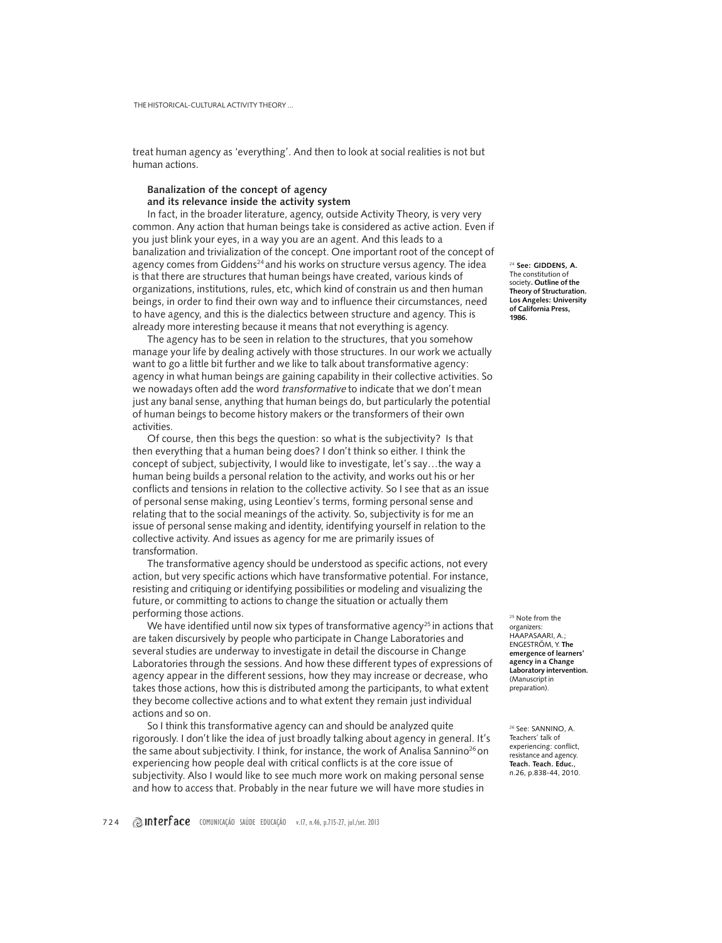treat human agency as 'everything'. And then to look at social realities is not but human actions.

## **Banalization of the concept of agency and its relevance inside the activity system**

In fact, in the broader literature, agency, outside Activity Theory, is very very common. Any action that human beings take is considered as active action. Even if you just blink your eyes, in a way you are an agent. And this leads to a banalization and trivialization of the concept. One important root of the concept of agency comes from Giddens<sup>24</sup> and his works on structure versus agency. The idea is that there are structures that human beings have created, various kinds of organizations, institutions, rules, etc, which kind of constrain us and then human beings, in order to find their own way and to influence their circumstances, need to have agency, and this is the dialectics between structure and agency. This is already more interesting because it means that not everything is agency.

The agency has to be seen in relation to the structures, that you somehow manage your life by dealing actively with those structures. In our work we actually want to go a little bit further and we like to talk about transformative agency: agency in what human beings are gaining capability in their collective activities. So we nowadays often add the word transformative to indicate that we don't mean just any banal sense, anything that human beings do, but particularly the potential of human beings to become history makers or the transformers of their own activities.

Of course, then this begs the question: so what is the subjectivity? Is that then everything that a human being does? I don't think so either. I think the concept of subject, subjectivity, I would like to investigate, let's say…the way a human being builds a personal relation to the activity, and works out his or her conflicts and tensions in relation to the collective activity. So I see that as an issue of personal sense making, using Leontiev's terms, forming personal sense and relating that to the social meanings of the activity. So, subjectivity is for me an issue of personal sense making and identity, identifying yourself in relation to the collective activity. And issues as agency for me are primarily issues of transformation.

The transformative agency should be understood as specific actions, not every action, but very specific actions which have transformative potential. For instance, resisting and critiquing or identifying possibilities or modeling and visualizing the future, or committing to actions to change the situation or actually them performing those actions.

We have identified until now six types of transformative agency $25$  in actions that are taken discursively by people who participate in Change Laboratories and several studies are underway to investigate in detail the discourse in Change Laboratories through the sessions. And how these different types of expressions of agency appear in the different sessions, how they may increase or decrease, who takes those actions, how this is distributed among the participants, to what extent they become collective actions and to what extent they remain just individual actions and so on.

So I think this transformative agency can and should be analyzed quite rigorously. I don't like the idea of just broadly talking about agency in general. It's the same about subjectivity. I think, for instance, the work of Analisa Sannino<sup>26</sup> on experiencing how people deal with critical conflicts is at the core issue of subjectivity. Also I would like to see much more work on making personal sense and how to access that. Probably in the near future we will have more studies in

<sup>24</sup> **See: GIDDENS, A.** The constitution of society**. Outline of the Theory of Structuration. Los Angeles: University of California Press, 1986.**

<sup>25</sup> Note from the organizers: HAAPASAARI, A.; ENGESTRÖM, Y. **The emergence of learners' agency in a Change Laboratory intervention.** (Manuscript in preparation).

<sup>26</sup> See: SANNINO, A. Teachers' talk of experiencing: conflict, resistance and agency. **Teach. Teach. Educ.**, n.26, p.838-44, 2010.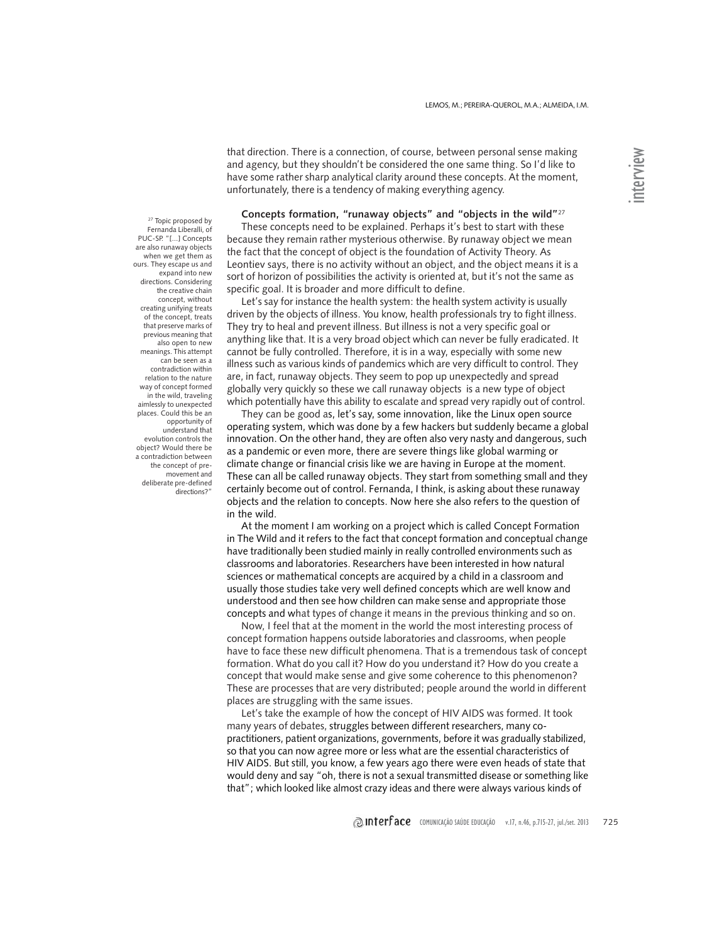that direction. There is a connection, of course, between personal sense making and agency, but they shouldn't be considered the one same thing. So I'd like to have some rather sharp analytical clarity around these concepts. At the moment, unfortunately, there is a tendency of making everything agency.

**Concepts formation, "runaway objects" and "objects in the wild"**<sup>27</sup>

These concepts need to be explained. Perhaps it's best to start with these because they remain rather mysterious otherwise. By runaway object we mean the fact that the concept of object is the foundation of Activity Theory. As Leontiev says, there is no activity without an object, and the object means it is a sort of horizon of possibilities the activity is oriented at, but it's not the same as specific goal. It is broader and more difficult to define.

Let's say for instance the health system: the health system activity is usually driven by the objects of illness. You know, health professionals try to fight illness. They try to heal and prevent illness. But illness is not a very specific goal or anything like that. It is a very broad object which can never be fully eradicated. It cannot be fully controlled. Therefore, it is in a way, especially with some new illness such as various kinds of pandemics which are very difficult to control. They are, in fact, runaway objects. They seem to pop up unexpectedly and spread globally very quickly so these we call runaway objects is a new type of object which potentially have this ability to escalate and spread very rapidly out of control.

They can be good as, let's say, some innovation, like the Linux open source operating system, which was done by a few hackers but suddenly became a global innovation. On the other hand, they are often also very nasty and dangerous, such as a pandemic or even more, there are severe things like global warming or climate change or financial crisis like we are having in Europe at the moment. These can all be called runaway objects. They start from something small and they certainly become out of control. Fernanda, I think, is asking about these runaway objects and the relation to concepts. Now here she also refers to the question of in the wild.

At the moment I am working on a project which is called Concept Formation in The Wild and it refers to the fact that concept formation and conceptual change have traditionally been studied mainly in really controlled environments such as classrooms and laboratories. Researchers have been interested in how natural sciences or mathematical concepts are acquired by a child in a classroom and usually those studies take very well defined concepts which are well know and understood and then see how children can make sense and appropriate those concepts and what types of change it means in the previous thinking and so on.

Now, I feel that at the moment in the world the most interesting process of concept formation happens outside laboratories and classrooms, when people have to face these new difficult phenomena. That is a tremendous task of concept formation. What do you call it? How do you understand it? How do you create a concept that would make sense and give some coherence to this phenomenon? These are processes that are very distributed; people around the world in different places are struggling with the same issues.

Let's take the example of how the concept of HIV AIDS was formed. It took many years of debates, struggles between different researchers, many copractitioners, patient organizations, governments, before it was gradually stabilized, so that you can now agree more or less what are the essential characteristics of HIV AIDS. But still, you know, a few years ago there were even heads of state that would deny and say "oh, there is not a sexual transmitted disease or something like that"; which looked like almost crazy ideas and there were always various kinds of

<sup>27</sup> Topic proposed by Fernanda Liberalli, of PUC-SP. "[...] Concepts are also runaway objects when we get them as ours. They escape us and expand into new directions. Considering the creative chain concept, without creating unifying treats of the concept, treats that preserve marks of previous meaning that also open to new meanings. This attempt can be seen as a contradiction within relation to the nature way of concept formed in the wild, traveling aimlessly to unexpected places. Could this be an opportunity of understand that evolution controls the object? Would there be a contradiction between the concept of premovement and deliberate pre-defined directions?"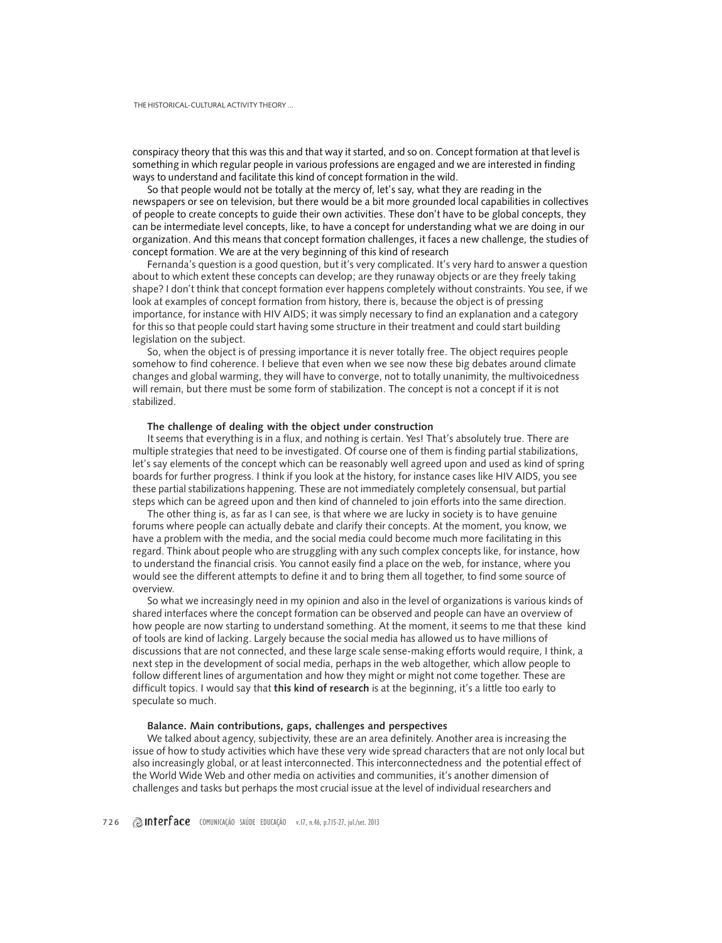conspiracy theory that this was this and that way it started, and so on. Concept formation at that level is something in which regular people in various professions are engaged and we are interested in finding ways to understand and facilitate this kind of concept formation in the wild.

So that people would not be totally at the mercy of, let's say, what they are reading in the newspapers or see on television, but there would be a bit more grounded local capabilities in collectives of people to create concepts to guide their own activities. These don't have to be global concepts, they can be intermediate level concepts, like, to have a concept for understanding what we are doing in our organization. And this means that concept formation challenges, it faces a new challenge, the studies of concept formation. We are at the very beginning of this kind of research

Fernanda's question is a good question, but it's very complicated. It's very hard to answer a question about to which extent these concepts can develop; are they runaway objects or are they freely taking shape? I don't think that concept formation ever happens completely without constraints. You see, if we look at examples of concept formation from history, there is, because the object is of pressing importance, for instance with HIV AIDS; it was simply necessary to find an explanation and a category for this so that people could start having some structure in their treatment and could start building legislation on the subject.

So, when the object is of pressing importance it is never totally free. The object requires people somehow to find coherence. I believe that even when we see now these big debates around climate changes and global warming, they will have to converge, not to totally unanimity, the multivoicedness will remain, but there must be some form of stabilization. The concept is not a concept if it is not stabilized.

#### **The challenge of dealing with the object under construction**

It seems that everything is in a flux, and nothing is certain. Yes! That's absolutely true. There are multiple strategies that need to be investigated. Of course one of them is finding partial stabilizations, let's say elements of the concept which can be reasonably well agreed upon and used as kind of spring boards for further progress. I think if you look at the history, for instance cases like HIV AIDS, you see these partial stabilizations happening. These are not immediately completely consensual, but partial steps which can be agreed upon and then kind of channeled to join efforts into the same direction.

The other thing is, as far as I can see, is that where we are lucky in society is to have genuine forums where people can actually debate and clarify their concepts. At the moment, you know, we have a problem with the media, and the social media could become much more facilitating in this regard. Think about people who are struggling with any such complex concepts like, for instance, how to understand the financial crisis. You cannot easily find a place on the web, for instance, where you would see the different attempts to define it and to bring them all together, to find some source of overview.

So what we increasingly need in my opinion and also in the level of organizations is various kinds of shared interfaces where the concept formation can be observed and people can have an overview of how people are now starting to understand something. At the moment, it seems to me that these kind of tools are kind of lacking. Largely because the social media has allowed us to have millions of discussions that are not connected, and these large scale sense-making efforts would require, I think, a next step in the development of social media, perhaps in the web altogether, which allow people to follow different lines of argumentation and how they might or might not come together. These are difficult topics. I would say that **this kind of research** is at the beginning, it's a little too early to speculate so much.

## **Balance. Main contributions, gaps, challenges and perspectives**

We talked about agency, subjectivity, these are an area definitely. Another area is increasing the issue of how to study activities which have these very wide spread characters that are not only local but also increasingly global, or at least interconnected. This interconnectedness and the potential effect of the World Wide Web and other media on activities and communities, it's another dimension of challenges and tasks but perhaps the most crucial issue at the level of individual researchers and